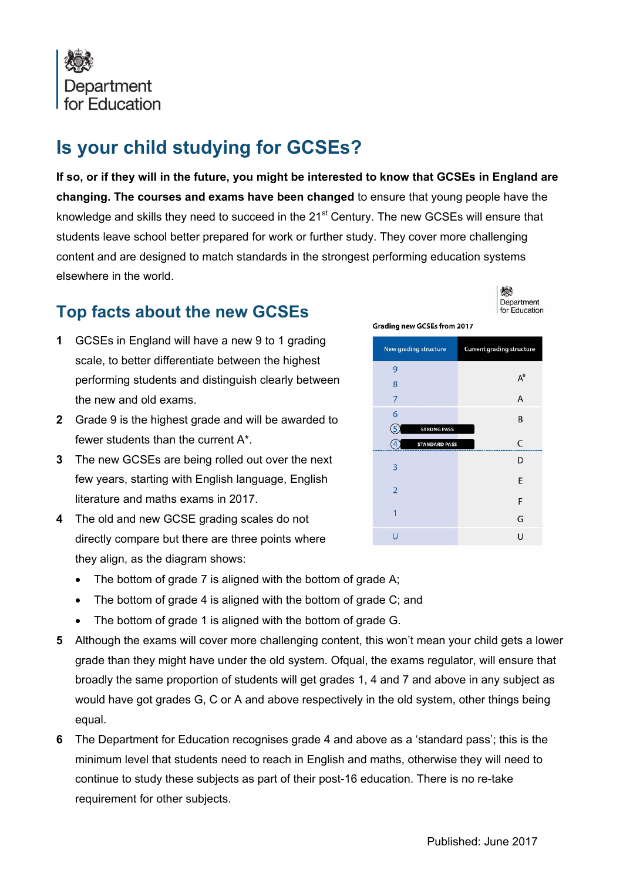

## **Is your child studying for GCSEs?**

**If so, or if they will in the future, you might be interested to know that GCSEs in England are changing. The courses and exams have been changed** to ensure that young people have the knowledge and skills they need to succeed in the 21<sup>st</sup> Century. The new GCSEs will ensure that students leave school better prepared for work or further study. They cover more challenging content and are designed to match standards in the strongest performing education systems elsewhere in the world.

## **Top facts about the new GCSEs**

- **1** GCSEs in England will have a new 9 to 1 grading scale, to better differentiate between the highest performing students and distinguish clearly between the new and old exams.
- **2** Grade 9 is the highest grade and will be awarded to fewer students than the current A\*.
- **3** The new GCSEs are being rolled out over the next few years, starting with English language, English literature and maths exams in 2017.
- **4** The old and new GCSE grading scales do not directly compare but there are three points where they align, as the diagram shows:
	- The bottom of grade 7 is aligned with the bottom of grade A;
	- The bottom of grade 4 is aligned with the bottom of grade C; and
	- The bottom of grade 1 is aligned with the bottom of grade G.
- **5** Although the exams will cover more challenging content, this won't mean your child gets a lower grade than they might have under the old system. Ofqual, the exams regulator, will ensure that broadly the same proportion of students will get grades 1, 4 and 7 and above in any subject as would have got grades G, C or A and above respectively in the old system, other things being equal.
- **6** The Department for Education recognises grade 4 and above as a 'standard pass'; this is the minimum level that students need to reach in English and maths, otherwise they will need to continue to study these subjects as part of their post-16 education. There is no re-take requirement for other subjects.

**Grading new GCSEs from 2017** 

機 Department for Education